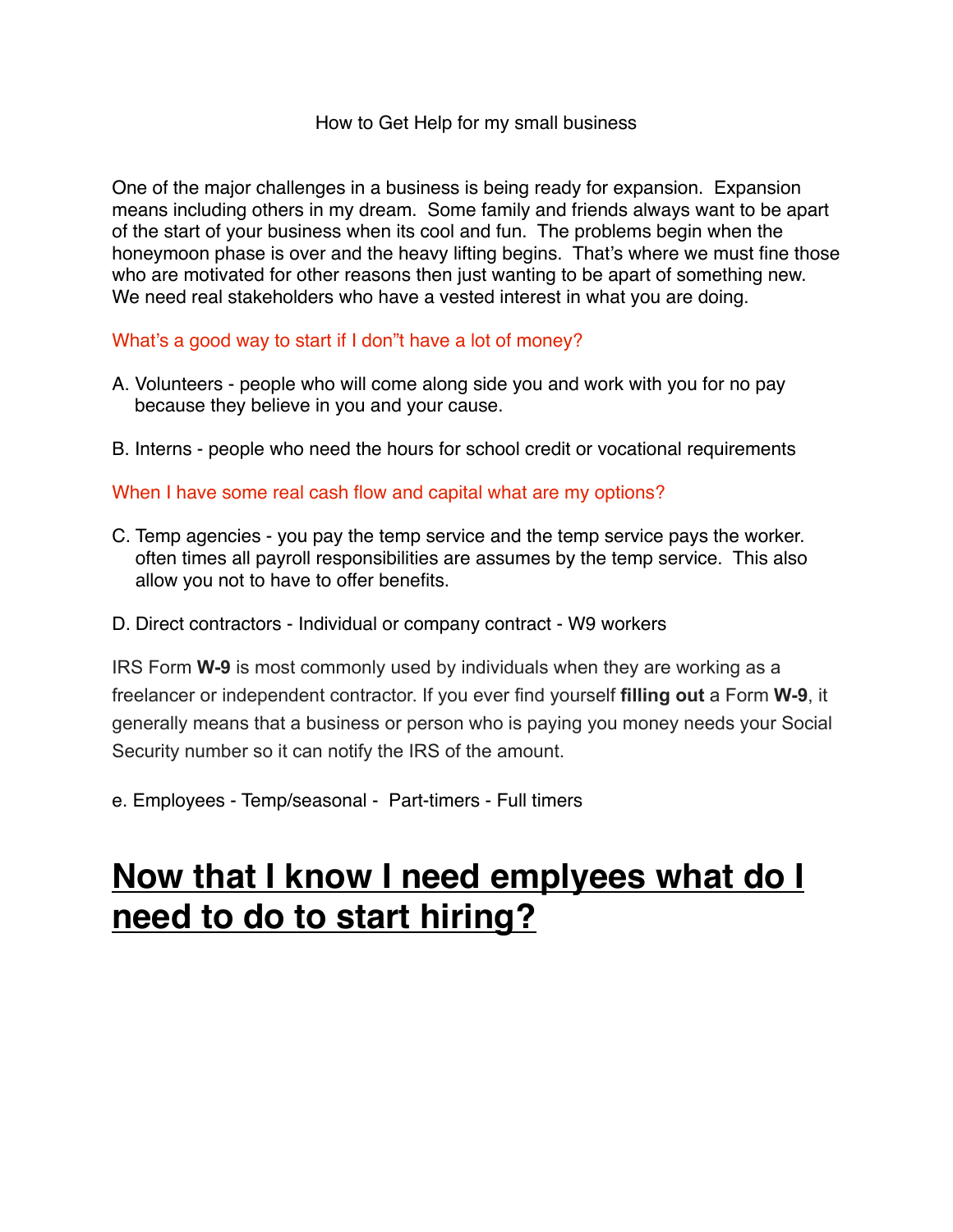#### How to Get Help for my small business

One of the major challenges in a business is being ready for expansion. Expansion means including others in my dream. Some family and friends always want to be apart of the start of your business when its cool and fun. The problems begin when the honeymoon phase is over and the heavy lifting begins. That's where we must fine those who are motivated for other reasons then just wanting to be apart of something new. We need real stakeholders who have a vested interest in what you are doing.

What's a good way to start if I don"t have a lot of money?

- A. Volunteers people who will come along side you and work with you for no pay because they believe in you and your cause.
- B. Interns people who need the hours for school credit or vocational requirements

When I have some real cash flow and capital what are my options?

- C. Temp agencies you pay the temp service and the temp service pays the worker. often times all payroll responsibilities are assumes by the temp service. This also allow you not to have to offer benefits.
- D. Direct contractors Individual or company contract W9 workers

IRS Form **W-9** is most commonly used by individuals when they are working as a freelancer or independent contractor. If you ever find yourself **filling out** a Form **W-9**, it generally means that a business or person who is paying you money needs your Social Security number so it can notify the IRS of the amount.

e. Employees - Temp/seasonal - Part-timers - Full timers

#### **Now that I know I need emplyees what do I need to do to start hiring?**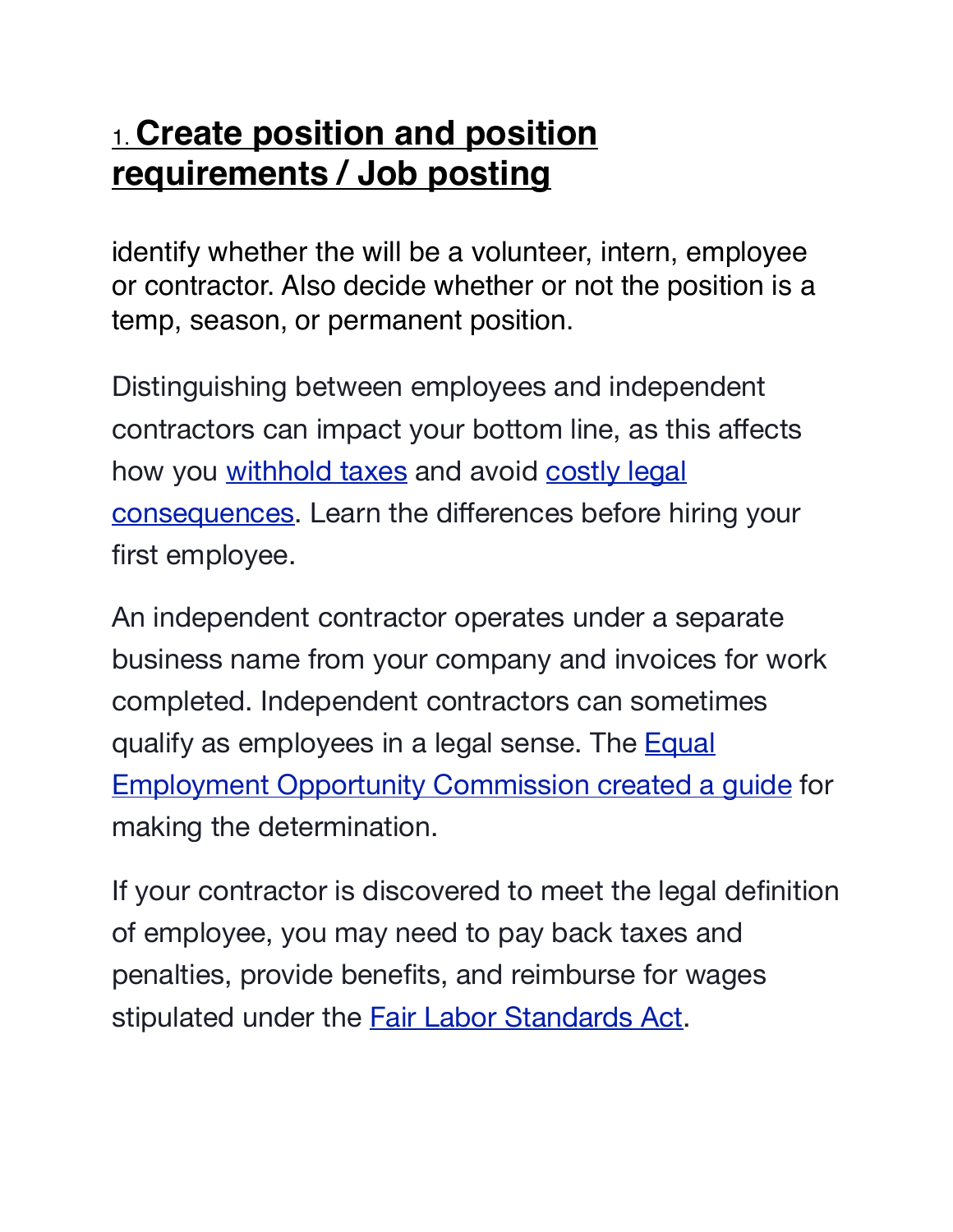#### 1. **Create position and position requirements / Job posting**

identify whether the will be a volunteer, intern, employee or contractor. Also decide whether or not the position is a temp, season, or permanent position.

Distinguishing between employees and independent contractors can impact your bottom line, as this affects how you [withhold taxes](https://www.sba.gov/business-guide/manage/pay-taxes-business-state-federal) and avoid [costly legal](https://www.sba.gov/business-guide/manage/stay-legally-compliant-business-laws)  [consequences](https://www.sba.gov/business-guide/manage/stay-legally-compliant-business-laws). Learn the differences before hiring your first employee.

An independent contractor operates under a separate business name from your company and invoices for work completed. Independent contractors can sometimes qualify as employees in a legal sense. The [Equal](http://www.eeoc.gov/policy/docs/threshold.html#2-III-A)  [Employment Opportunity Commission created a guide](http://www.eeoc.gov/policy/docs/threshold.html#2-III-A) for making the determination.

If your contractor is discovered to meet the legal definition of employee, you may need to pay back taxes and penalties, provide benefits, and reimburse for wages stipulated under the **[Fair Labor Standards Act](https://www.dol.gov/whd/regs/compliance/hrg.htm)**.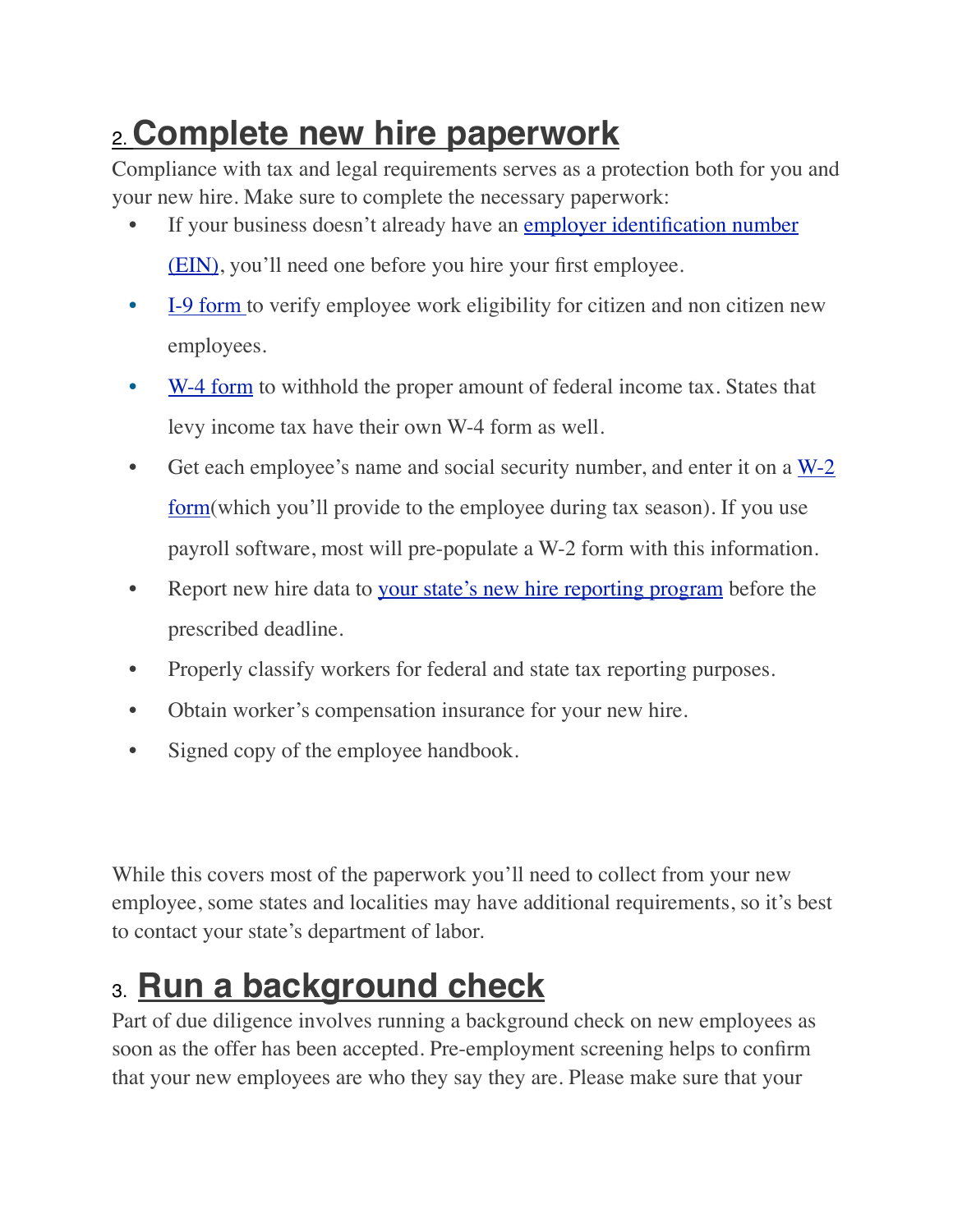## 2. **Complete new hire paperwork**

Compliance with tax and legal requirements serves as a protection both for you and your new hire. Make sure to complete the necessary paperwork:

- If your business doesn't already have an employer identification number [\(EIN\),](https://www.irs.gov/businesses/small-businesses-self-employed/apply-for-an-employer-identification-number-ein-online) you'll need one before you hire your first employee.
- [I-9 form](https://www.uscis.gov/i-9) to verify employee work eligibility for citizen and non citizen new employees.
- [W-4 form](https://www.irs.gov/pub/irs-pdf/fw4.pdf) to withhold the proper amount of federal income tax. States that levy income tax have their own W-4 form as well.
- Get each employee's name and social security number, and enter it on a  $W-2$ [form](https://www.irs.gov/pub/irs-pdf/fw2.pdf)(which you'll provide to the employee during tax season). If you use payroll software, most will pre-populate a W-2 form with this information.
- Report new hire data to your state's [new hire reporting program](https://www.acf.hhs.gov/css/resource/state-new-hire-reporting-websites) before the prescribed deadline.
- Properly classify workers for federal and state tax reporting purposes.
- Obtain worker's compensation insurance for your new hire.
- Signed copy of the employee handbook.

While this covers most of the paperwork you'll need to collect from your new employee, some states and localities may have additional requirements, so it's best to contact your state's department of labor.

## 3. **Run a background check**

Part of due diligence involves running a background check on new employees as soon as the offer has been accepted. Pre-employment screening helps to confirm that your new employees are who they say they are. Please make sure that your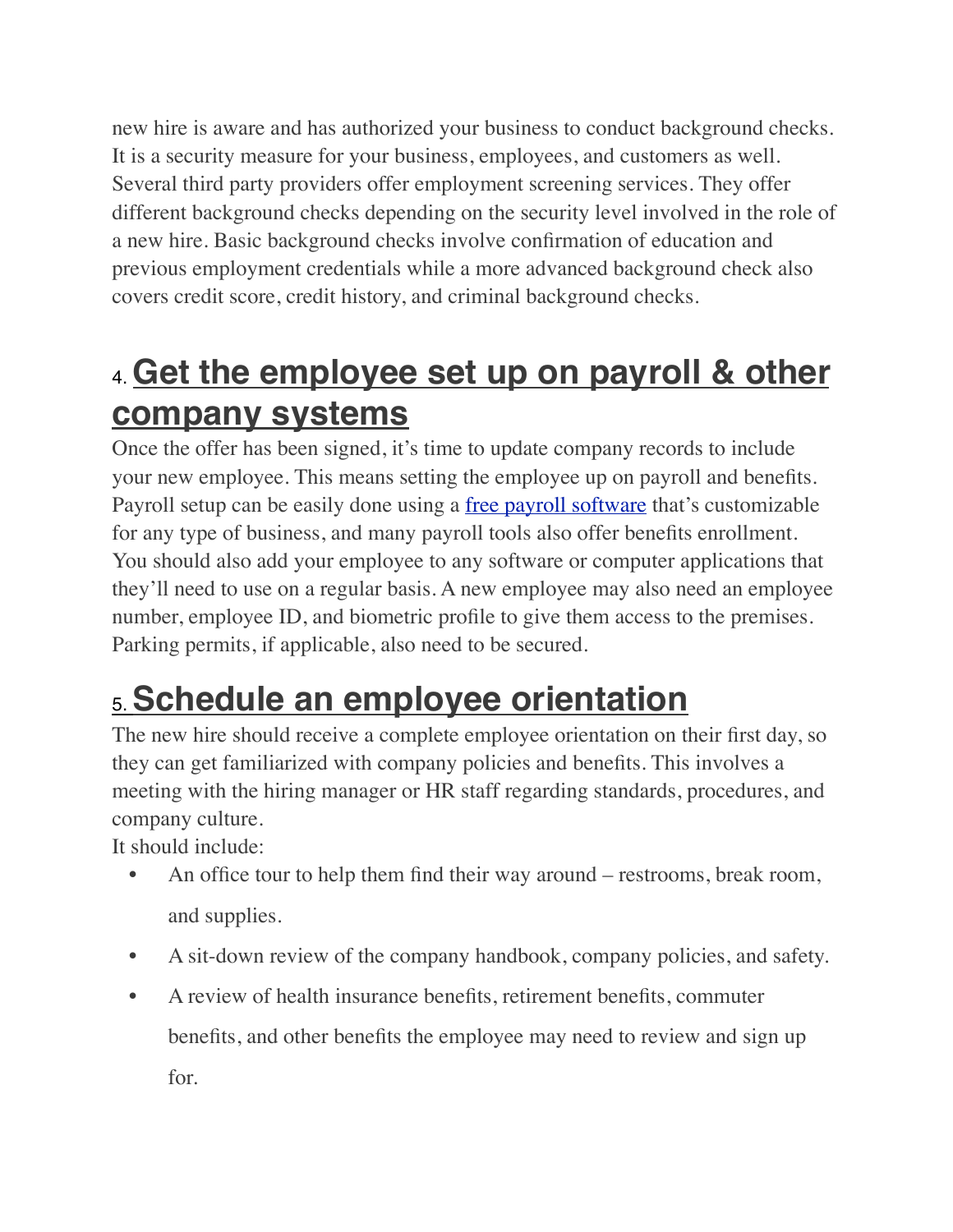new hire is aware and has authorized your business to conduct background checks. It is a security measure for your business, employees, and customers as well. Several third party providers offer employment screening services. They offer different background checks depending on the security level involved in the role of a new hire. Basic background checks involve confirmation of education and previous employment credentials while a more advanced background check also covers credit score, credit history, and criminal background checks.

## 4. **Get the employee set up on payroll & other company systems**

Once the offer has been signed, it's time to update company records to include your new employee. This means setting the employee up on payroll and benefits. Payroll setup can be easily done using a <u>[free payroll software](https://fitsmallbusiness.com/free-payroll-software/)</u> that's customizable for any type of business, and many payroll tools also offer benefits enrollment. You should also add your employee to any software or computer applications that they'll need to use on a regular basis. A new employee may also need an employee number, employee ID, and biometric profile to give them access to the premises. Parking permits, if applicable, also need to be secured.

# 5. **Schedule an employee orientation**

The new hire should receive a complete employee orientation on their first day, so they can get familiarized with company policies and benefits. This involves a meeting with the hiring manager or HR staff regarding standards, procedures, and company culture.

It should include:

- An office tour to help them find their way around restrooms, break room, and supplies.
- A sit-down review of the company handbook, company policies, and safety.
- A review of health insurance benefits, retirement benefits, commuter benefits, and other benefits the employee may need to review and sign up for.